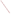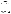| ゾ<br>ن ل<br><b>ASSISTENTIAL PROTE</b>                                          | Office of Research and Development<br>Washington, D.C. 20460<br><b>ET</b>                                                 |
|--------------------------------------------------------------------------------|---------------------------------------------------------------------------------------------------------------------------|
| ENVIRONMENTAL TECHNOLOGY VERIFICATION PROGRAM<br><b>VERIFICATION STATEMENT</b> |                                                                                                                           |
| <b>TECHNOLOGY TYPE:</b>                                                        | FIELD PORTABLE GAS CHROMATOGRAPH/MASS<br><b>SPECTROMETER</b>                                                              |
| <b>APPLICATION:</b>                                                            | <b>MEASUREMENT OF VOLATILE ORGANICS IN SOIL, WATER, AND</b><br><b>SOIL GAS</b>                                            |
| <b>TECHNOLOGY NAME:</b>                                                        | <b>EM640TM</b>                                                                                                            |
| COMPANY:<br><b>ADDRESS:</b>                                                    | BRUKER-FRANZEN ANALYTICAL SYSTEMS, INC.<br><b>19 FORTUNE DRIVE, MANNING PARK</b><br><b>BILLERICA, MASSACHUSETTS 01821</b> |

UNITED STATES ENVIRONMENTAL PROTECTION AGENCY

PHONE: **(508) 667-9580** 

NITED STAT

The U.S. Environmental Protection Agency (EPA) has created a program to facilitate the deployment of innovative environmental technologies through performance verification and information dissemination. The goal of the Environmental Technology Verification (ETV) Program is to further environmental protection by substantially accelerating the acceptance and use of improved and more cost effective technologies. The ETV is intended to assist and inform those involved in the design, distribution, permitting, and purchase of environmental technologies. This verification statement provides a summary of the demonstration and results for the Bruker-Franzen Analytical Systems, Inc. EM640™ field portable gas chromatograph/mass spectrometer (GC/MS) system.

## **PROGRAM OPERATION**

The EPA, in partnership with recognized testing organizations, objectively and systematically evaluates the performance of innovative technologies. Together, with the full participation of the technology developer, they develop plans, conduct tests, collect and analyze data, and report findings. The evaluations are conducted according to a rigorous demonstration plan and established protocols for quality assurance. The EPA's National Exposure Research Laboratory, which conducts demonstrations of site characterization and monitoring technologies, selected Sandia National Laboratories, Albuquerque, New Mexico, as the testing organization for field portable GC/MS systems.

## **DEMONSTRATION DESCRIPTION**

In July and September 1995, the performance of two field transportable GC/MS systems was determined under field conditions. Each system was independently evaluated by comparing field analysis results to those obtained using approved reference methods. Performance evaluation (PE), spiked, and environmental samples were used to independently assess the accuracy, precision, and comparability of each instrument.

The demonstration was designed to detect and measure a series of primary target analytes in water, soil, and soil gas. The primary target analytes at the U.S. Department of Energy's Savannah River Site in Aiken, South Carolina, were trichloroethene and tetrachloroethene. The primary analytes at Wurtsmith Air Force Base in Oscoda, Michigan, were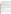benzene, toluene, and xylenes. Secondary analytes at the Michigan site included a variety of chlorinated organic solvents. The sites were chosen because they exhibit a wide range of concentrations for most of the analytes and provided different climatic and geological conditions. The conditions at each of these sites represent typical, but not all inclusive, conditions under which the technology would be expected to operate. Details of the demonstration, including a data summary and discussion of results may be found in the report entitled "Environmental Technology Verification Report, Field Portable Gas Chromatograph/Mass Spectrometer, Bruker-Franzen Analytical Systems, Inc. EM640™." The EPA document number for this report is EPA/600/R-97/149.

## **TECHNOLOGY DESCRIPTION**

GC/MS is a proven laboratory analytical technology that has been used in environmental laboratories for many years. The combination of gas chromatography and mass spectrometry enables the rapid separation and identification of individual compounds in complex mixtures. The gas chromatograph separates the sample extract into individual components. The mass spectrometer then ionizes each component which provides the energy to fragment the molecules into characteristic ions. These ion fragments are then separated by mass and detected as charged particles, which constitutes a mass spectrum. This spectrum can be used in the identification and quantitation of each component in the sample extract. For nontarget or unknown analytes the mass spectrum is compared to a computerized library of compounds to provide identification of the unknown. Field transportable GC/MS is a versatile technique that can be used to provide rapid screening data or laboratory quality confirmatory analyses. In most systems, the instrument configuration can also be quickly changed to accommodate different inlets for media such as soil, soil gas, and water. As with all field analytical studies, it may be necessary to send a portion of the samples to an independent laboratory for confirmatory analyses.

The  $EM640<sup>TM</sup>$  is a commercially available GC/MS system that provides laboratory-grade performance in a field transportable package. The instrument is ruggedized and may be operated during transport. It weighs about 140 lbs and can be transported and operated in a small van. The  $EM640^{TM}$  used in the demonstration used a Spray-and-Trap Water Sampler, direct injection for soil gas, and heated headspace analysis for soil samples. The minimum detection limit is 1 ppb for soil gas,  $1\mu$ g/L for water, and 50  $\mu$ g/kg for soil. The instrument requires a skilled operator; recommended training is one week for a chemist with GC/MS experience. At the time of testing, the baseline cost of the  $EM640^{\text{TM}}$ was \$170,000 plus the cost of the inlet system.

## **VERIFICATION OF PERFORMANCE**

The observed performance characteristics of the EM640™ include the following:

- **Throughput:** The throughput was approximately 5 samples per hour for all media when the instrument was operated in the rapid analysis mode. Throughput would decrease if the instrument were operated in the analytical mode.
- ! **Completeness:** The EM640™ detected greater than 99 percent of the target compounds reported by the reference laboratory.
- **Precision:** Precision was calculated from the analysis of a series of duplicate samples from each media. The results are reported in terms of relative percent difference (RPD). The values compiled from both sites generally fell within the range of 0 to 40 percent RPD for soil and 0 to 50 percent for the water and soil gas samples.